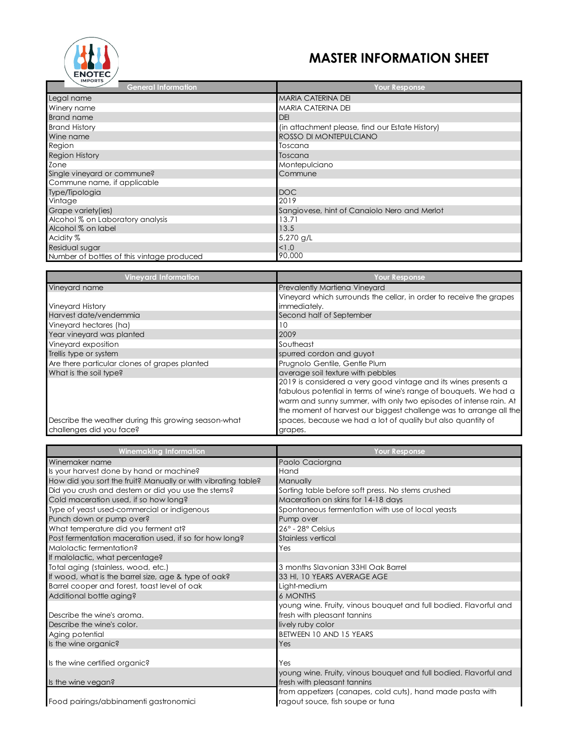

## **MASTER INFORMATION SHEET**

| <b>IMPORTS</b><br><b>General Information</b> | <b>Your Response</b>                            |
|----------------------------------------------|-------------------------------------------------|
| Legal name                                   | <b>MARIA CATERINA DEI</b>                       |
| Winery name                                  | MARIA CATERINA DEI                              |
| <b>Brand name</b>                            | <b>DEI</b>                                      |
| <b>Brand History</b>                         | (in attachment please, find our Estate History) |
| Wine name                                    | ROSSO DI MONTEPULCIANO                          |
| Region                                       | Toscana                                         |
| <b>Region History</b>                        | Toscana                                         |
| Zone                                         | Montepulciano                                   |
| Single vineyard or commune?                  | Commune                                         |
| Commune name, if applicable                  |                                                 |
| Type/Tipologia                               | <b>DOC</b>                                      |
| Vintage                                      | 2019                                            |
| Grape variety(ies)                           | Sangiovese, hint of Canaiolo Nero and Merlot    |
| Alcohol % on Laboratory analysis             | 13.71                                           |
| Alcohol % on label                           | 13.5                                            |
| Acidity %                                    | 5,270 g/L                                       |
| Residual sugar                               | 1.0                                             |
| Number of bottles of this vintage produced   | 90,000                                          |

| <b>Vineyard Information</b>                          | Your Response                                                       |
|------------------------------------------------------|---------------------------------------------------------------------|
| Vineyard name                                        | <b>Prevalently Martiena Vineyard</b>                                |
|                                                      | Vineyard which surrounds the cellar, in order to receive the grapes |
| Vineyard History                                     | immediately.                                                        |
| Harvest date/vendemmia                               | Second half of September                                            |
| Vineyard hectares (ha)                               | 10                                                                  |
| Year vineyard was planted                            | 2009                                                                |
| Vineyard exposition                                  | Southeast                                                           |
| Trellis type or system                               | spurred cordon and guyot                                            |
| Are there particular clones of grapes planted        | Prugnolo Gentile, Gentle Plum                                       |
| What is the soil type?                               | average soil texture with pebbles                                   |
|                                                      | 2019 is considered a very good vintage and its wines presents a     |
|                                                      | fabulous potential in terms of wine's range of bouquets. We had a   |
|                                                      | warm and sunny summer, with only two episodes of intense rain. At   |
|                                                      | the moment of harvest our biggest challenge was to arrange all the  |
| Describe the weather during this growing season-what | spaces, because we had a lot of quality but also quantity of        |
| challenges did you face?                             | grapes.                                                             |

| <b>Winemaking Information</b>                                 | <b>Your Response</b>                                                                             |
|---------------------------------------------------------------|--------------------------------------------------------------------------------------------------|
| Winemaker name                                                | Paolo Caciorgna                                                                                  |
| Is your harvest done by hand or machine?                      | Hand                                                                                             |
| How did you sort the fruit? Manually or with vibrating table? | Manually                                                                                         |
| Did you crush and destem or did you use the stems?            | Sorting table before soft press. No stems crushed                                                |
| Cold maceration used, if so how long?                         | Maceration on skins for 14-18 days                                                               |
| Type of yeast used-commercial or indigenous                   | Spontaneous fermentation with use of local yeasts                                                |
| Punch down or pump over?                                      | Pump over                                                                                        |
| What temperature did you ferment at?                          | 26° - 28° Celsius                                                                                |
| Post fermentation maceration used, if so for how long?        | <b>Stainless vertical</b>                                                                        |
| Malolactic fermentation?                                      | Yes                                                                                              |
| If malolactic, what percentage?                               |                                                                                                  |
| Total aging (stainless, wood, etc.)                           | 3 months Slavonian 33HI Oak Barrel                                                               |
| If wood, what is the barrel size, age & type of oak?          | 33 HI, 10 YEARS AVERAGE AGE                                                                      |
| Barrel cooper and forest, toast level of oak                  | Light-medium                                                                                     |
| Additional bottle aging?                                      | <b>6 MONTHS</b>                                                                                  |
| Describe the wine's aroma.                                    | young wine. Fruity, vinous bouquet and full bodied. Flavorful and<br>fresh with pleasant tannins |
| Describe the wine's color.                                    | lively ruby color                                                                                |
| Aging potential                                               | BETWEEN 10 AND 15 YEARS                                                                          |
| Is the wine organic?                                          | Yes                                                                                              |
|                                                               |                                                                                                  |
| Is the wine certified organic?                                | Yes                                                                                              |
| Is the wine vegan?                                            | young wine. Fruity, vinous bouquet and full bodied. Flavorful and<br>fresh with pleasant tannins |
|                                                               | from appetizers (canapes, cold cuts), hand made pasta with                                       |
| Food pairings/abbinamenti gastronomici                        | ragout souce, fish soupe or tuna                                                                 |